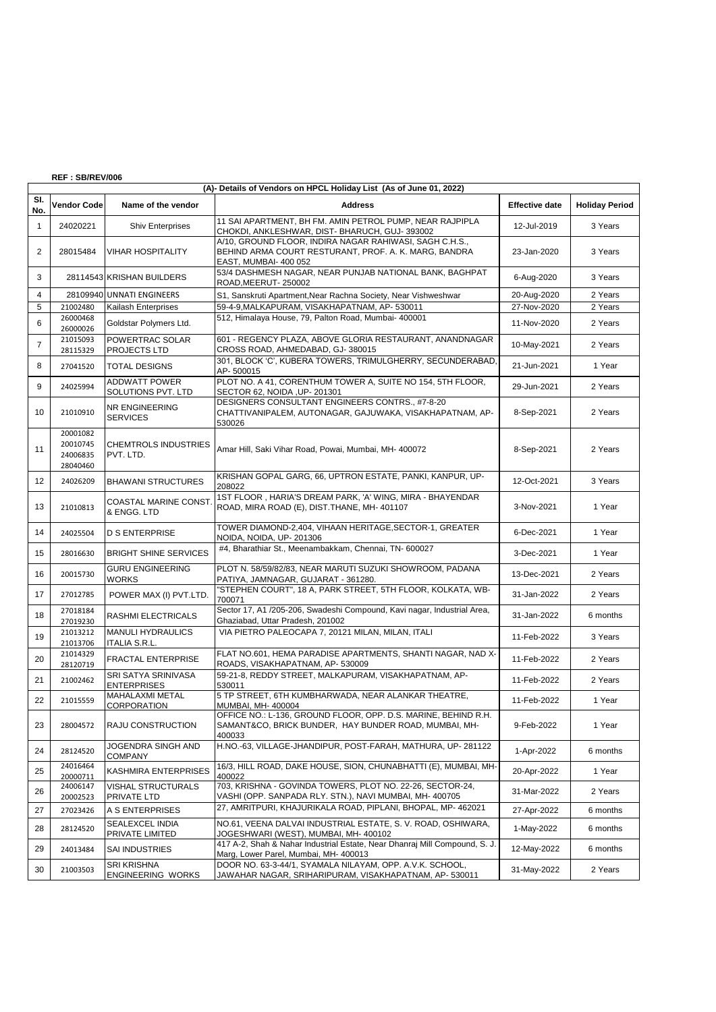## **REF : SB/REV/006**

|                | (A)- Details of Vendors on HPCL Holiday List (As of June 01, 2022) |                                                  |                                                                                                                                           |                       |                       |  |  |  |  |
|----------------|--------------------------------------------------------------------|--------------------------------------------------|-------------------------------------------------------------------------------------------------------------------------------------------|-----------------------|-----------------------|--|--|--|--|
| SI.<br>No.     | Vendor Code                                                        | Name of the vendor                               | <b>Address</b>                                                                                                                            | <b>Effective date</b> | <b>Holiday Period</b> |  |  |  |  |
| $\mathbf{1}$   | 24020221                                                           | <b>Shiv Enterprises</b>                          | 11 SAI APARTMENT, BH FM. AMIN PETROL PUMP, NEAR RAJPIPLA<br>CHOKDI, ANKLESHWAR, DIST- BHARUCH, GUJ- 393002                                | 12-Jul-2019           | 3 Years               |  |  |  |  |
| $\overline{2}$ | 28015484                                                           | <b>VIHAR HOSPITALITY</b>                         | A/10, GROUND FLOOR, INDIRA NAGAR RAHIWASI, SAGH C.H.S.,<br>BEHIND ARMA COURT RESTURANT, PROF. A. K. MARG, BANDRA<br>EAST, MUMBAI- 400 052 | 23-Jan-2020           | 3 Years               |  |  |  |  |
| 3              |                                                                    | 28114543 KRISHAN BUILDERS                        | 53/4 DASHMESH NAGAR, NEAR PUNJAB NATIONAL BANK, BAGHPAT<br>ROAD, MEERUT-250002                                                            | 6-Aug-2020            | 3 Years               |  |  |  |  |
| 4              |                                                                    | 28109940 UNNATI ENGINEERS                        | S1, Sanskruti Apartment, Near Rachna Society, Near Vishweshwar                                                                            | 20-Aug-2020           | 2 Years               |  |  |  |  |
| 5              | 21002480                                                           | Kailash Enterprises                              | 59-4-9, MALKAPURAM, VISAKHAPATNAM, AP-530011                                                                                              | 27-Nov-2020           | 2 Years               |  |  |  |  |
| 6              | 26000468<br>26000026                                               | Goldstar Polymers Ltd.                           | 512, Himalaya House, 79, Palton Road, Mumbai- 400001                                                                                      | 11-Nov-2020           | 2 Years               |  |  |  |  |
| $\overline{7}$ | 21015093<br>28115329                                               | POWERTRAC SOLAR<br><b>PROJECTS LTD</b>           | 601 - REGENCY PLAZA, ABOVE GLORIA RESTAURANT, ANANDNAGAR<br>CROSS ROAD, AHMEDABAD, GJ-380015                                              | 10-May-2021           | 2 Years               |  |  |  |  |
| 8              | 27041520                                                           | <b>TOTAL DESIGNS</b>                             | 301, BLOCK 'C', KUBERA TOWERS, TRIMULGHERRY, SECUNDERABAD,<br>AP-500015                                                                   | 21-Jun-2021           | 1 Year                |  |  |  |  |
| 9              | 24025994                                                           | <b>ADDWATT POWER</b><br>SOLUTIONS PVT. LTD       | PLOT NO. A 41, CORENTHUM TOWER A, SUITE NO 154, 5TH FLOOR,<br>SECTOR 62, NOIDA , UP- 201301                                               | 29-Jun-2021           | 2 Years               |  |  |  |  |
| 10             | 21010910                                                           | NR ENGINEERING<br><b>SERVICES</b>                | DESIGNERS CONSULTANT ENGINEERS CONTRS., #7-8-20<br>CHATTIVANIPALEM, AUTONAGAR, GAJUWAKA, VISAKHAPATNAM, AP-<br>530026                     | 8-Sep-2021            | 2 Years               |  |  |  |  |
| 11             | 20001082<br>20010745<br>24006835<br>28040460                       | <b>CHEMTROLS INDUSTRIES</b><br>PVT. LTD.         | Amar Hill, Saki Vihar Road, Powai, Mumbai, MH- 400072                                                                                     | 8-Sep-2021            | 2 Years               |  |  |  |  |
| 12             | 24026209                                                           | <b>BHAWANI STRUCTURES</b>                        | KRISHAN GOPAL GARG, 66, UPTRON ESTATE, PANKI, KANPUR, UP-<br>208022                                                                       | 12-Oct-2021           | 3 Years               |  |  |  |  |
| 13             | 21010813                                                           | <b>COASTAL MARINE CONST.</b><br>& ENGG. LTD      | 1ST FLOOR, HARIA'S DREAM PARK, 'A' WING, MIRA - BHAYENDAR<br>ROAD, MIRA ROAD (E), DIST. THANE, MH- 401107                                 | 3-Nov-2021            | 1 Year                |  |  |  |  |
| 14             | 24025504                                                           | <b>D S ENTERPRISE</b>                            | TOWER DIAMOND-2,404, VIHAAN HERITAGE, SECTOR-1, GREATER<br>NOIDA, NOIDA, UP- 201306                                                       | 6-Dec-2021            | 1 Year                |  |  |  |  |
| 15             | 28016630                                                           | <b>BRIGHT SHINE SERVICES</b>                     | #4, Bharathiar St., Meenambakkam, Chennai, TN- 600027                                                                                     | 3-Dec-2021            | 1 Year                |  |  |  |  |
| 16             | 20015730                                                           | <b>GURU ENGINEERING</b><br><b>WORKS</b>          | PLOT N. 58/59/82/83, NEAR MARUTI SUZUKI SHOWROOM, PADANA<br>PATIYA, JAMNAGAR, GUJARAT - 361280.                                           | 13-Dec-2021           | 2 Years               |  |  |  |  |
| 17             | 27012785                                                           | POWER MAX (I) PVT.LTD.                           | "STEPHEN COURT", 18 A, PARK STREET, 5TH FLOOR, KOLKATA, WB-<br>700071                                                                     | 31-Jan-2022           | 2 Years               |  |  |  |  |
| 18             | 27018184<br>27019230                                               | RASHMI ELECTRICALS                               | Sector 17, A1 /205-206, Swadeshi Compound, Kavi nagar, Industrial Area,<br>Ghaziabad, Uttar Pradesh, 201002                               | 31-Jan-2022           | 6 months              |  |  |  |  |
| 19             | 21013212<br>21013706                                               | <b>MANULI HYDRAULICS</b><br><b>ITALIA S.R.L.</b> | VIA PIETRO PALEOCAPA 7, 20121 MILAN, MILAN, ITALI                                                                                         | 11-Feb-2022           | 3 Years               |  |  |  |  |
| 20             | 21014329<br>28120719                                               | <b>FRACTAL ENTERPRISE</b>                        | FLAT NO.601, HEMA PARADISE APARTMENTS, SHANTI NAGAR, NAD X-<br>ROADS, VISAKHAPATNAM, AP-530009                                            | 11-Feb-2022           | 2 Years               |  |  |  |  |
| 21             | 21002462                                                           | SRI SATYA SRINIVASA<br><b>ENTERPRISES</b>        | 59-21-8, REDDY STREET, MALKAPURAM, VISAKHAPATNAM, AP-<br>530011                                                                           | 11-Feb-2022           | 2 Years               |  |  |  |  |
| 22             | 21015559                                                           | <b>MAHALAXMI METAL</b><br><b>CORPORATION</b>     | 5 TP STREET, 6TH KUMBHARWADA, NEAR ALANKAR THEATRE,<br>MUMBAI, MH- 400004                                                                 | 11-Feb-2022           | 1 Year                |  |  |  |  |
| 23             | 28004572                                                           | RAJU CONSTRUCTION                                | OFFICE NO.: L-136, GROUND FLOOR, OPP. D.S. MARINE, BEHIND R.H.<br>SAMANT&CO, BRICK BUNDER, HAY BUNDER ROAD, MUMBAI, MH-<br>400033         | 9-Feb-2022            | 1 Year                |  |  |  |  |
| 24             | 28124520                                                           | JOGENDRA SINGH AND<br><b>COMPANY</b>             | H.NO.-63, VILLAGE-JHANDIPUR, POST-FARAH, MATHURA, UP-281122                                                                               | 1-Apr-2022            | 6 months              |  |  |  |  |
| 25             | 24016464<br>20000711                                               | KASHMIRA ENTERPRISES                             | 16/3, HILL ROAD, DAKE HOUSE, SION, CHUNABHATTI (E), MUMBAI, MH-<br>400022                                                                 | 20-Apr-2022           | 1 Year                |  |  |  |  |
| 26             | 24006147<br>20002523                                               | VISHAL STRUCTURALS<br>PRIVATE LTD                | 703, KRISHNA - GOVINDA TOWERS, PLOT NO. 22-26, SECTOR-24,<br>VASHI (OPP. SANPADA RLY. STN.), NAVI MUMBAI, MH- 400705                      | 31-Mar-2022           | 2 Years               |  |  |  |  |
| 27             | 27023426                                                           | A S ENTERPRISES                                  | 27, AMRITPURI, KHAJURIKALA ROAD, PIPLANI, BHOPAL, MP- 462021                                                                              | 27-Apr-2022           | 6 months              |  |  |  |  |
| 28             | 28124520                                                           | SEALEXCEL INDIA<br>PRIVATE LIMITED               | NO.61, VEENA DALVAI INDUSTRIAL ESTATE, S. V. ROAD, OSHIWARA,<br>JOGESHWARI (WEST), MUMBAI, MH- 400102                                     | 1-May-2022            | 6 months              |  |  |  |  |
| 29             | 24013484                                                           | SAI INDUSTRIES                                   | 417 A-2, Shah & Nahar Industrial Estate, Near Dhanraj Mill Compound, S. J.<br>Marg, Lower Parel, Mumbai, MH- 400013                       | 12-May-2022           | 6 months              |  |  |  |  |
| 30             | 21003503                                                           | <b>SRI KRISHNA</b><br>ENGINEERING WORKS          | DOOR NO. 63-3-44/1, SYAMALA NILAYAM, OPP. A.V.K. SCHOOL,<br>JAWAHAR NAGAR, SRIHARIPURAM, VISAKHAPATNAM, AP- 530011                        | 31-May-2022           | 2 Years               |  |  |  |  |